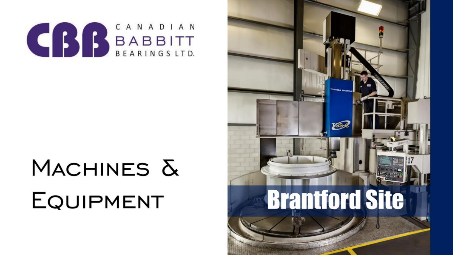

# MACHINES & **EQUIPMENT**

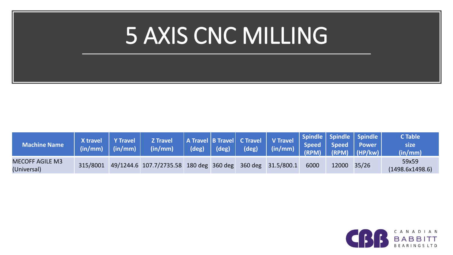## 5 AXIS CNC MILLING

| <b>Machine Name</b>                   | X travel<br>$\sim$ (in/mm) | Y Travel<br>(in/mm) | <b>Z Travel</b><br>$\left(\frac{\mathsf{in}}{\mathsf{mm}}\right)^{\dagger}$ | $(\text{deg})$ $(\text{deg})$ | (deg) | A Travel B Travel C Travel V Travel Spindle Spindle Spindle V Travel Speed Speed Power<br>$\ln/mm$ |      |       | $\left  \begin{array}{c} \text{CFLO} \\ \text{(RPM)} \end{array} \right  \left  \begin{array}{c} \text{CFLO} \\ \text{(HP/KW)} \end{array} \right $ | <b>C</b> Table<br>size<br>(in/mm) |
|---------------------------------------|----------------------------|---------------------|-----------------------------------------------------------------------------|-------------------------------|-------|----------------------------------------------------------------------------------------------------|------|-------|-----------------------------------------------------------------------------------------------------------------------------------------------------|-----------------------------------|
| <b>MECOFF AGILE M3</b><br>(Universal) | 315/8001                   |                     | 49/1244.6 107.7/2735.58 180 deg 360 deg 360 deg 31.5/800.1                  |                               |       |                                                                                                    | 6000 | 12000 | 35/26                                                                                                                                               | 59x59<br>(1498.6x1498.6)          |

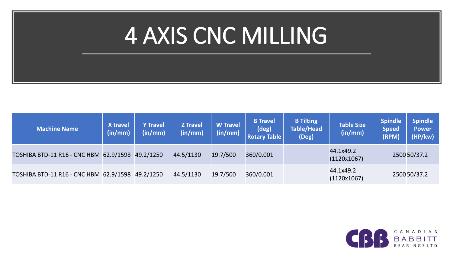## 4 AXIS CNC MILLING

| <b>Machine Name</b>                    | X travel<br>(in/mm) | <b>Y Travel</b><br>(in/mm) | <b>Z</b> Travel<br>(in/mm) | <b>W</b> Travel<br>(in/mm) | <b>B</b> Travel<br>(deg)<br><b>Rotary Table</b> | <b>B</b> Tilting<br><b>Table/Head</b><br>(Deg) | <b>Table Size</b><br>(in/mm) | <b>Spindle</b><br><b>Speed</b><br>(RPM) | <b>Spindle</b><br><b>Power</b><br>(HP/kw) |
|----------------------------------------|---------------------|----------------------------|----------------------------|----------------------------|-------------------------------------------------|------------------------------------------------|------------------------------|-----------------------------------------|-------------------------------------------|
| TOSHIBA BTD-11 R16 - CNC HBM 62.9/1598 |                     | 49.2/1250                  | 44.5/1130                  | 19.7/500                   | 360/0.001                                       |                                                | 44.1x49.2<br>(1120x1067)     |                                         | 2500 50/37.2                              |
| TOSHIBA BTD-11 R16 - CNC HBM 62.9/1598 |                     | 49.2/1250                  | 44.5/1130                  | 19.7/500                   | 360/0.001                                       |                                                | 44.1x49.2<br>(1120x1067)     |                                         | 2500 50/37.2                              |

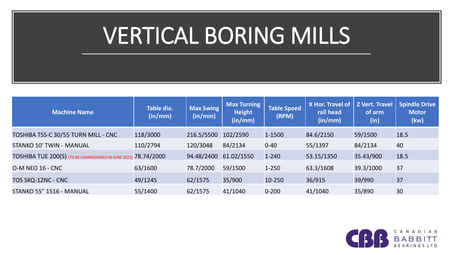## VERTICAL BORING MILLS

| <b>Machine Name</b>                                 | Table dia.<br>(in/mm) | <b>Max Swing</b><br>(in/mm) | <b>Max Turning</b><br><b>Height</b><br>(in/mm) | <b>Table Speed</b><br>(RPM) | X Hor. Travel of<br>rail head<br>(in/mm) | <b>Z Vert. Travel</b><br>of arm<br>(in) | <b>Spindle Drive</b><br><b>Motor</b><br>(kw) |
|-----------------------------------------------------|-----------------------|-----------------------------|------------------------------------------------|-----------------------------|------------------------------------------|-----------------------------------------|----------------------------------------------|
| TOSHIBA TSS-C 30/55 TURN MILL - CNC                 | 118/3000              | 216.5/5500                  | 102/2590                                       | 1-1500                      | 84.6/2150                                | 59/1500                                 | 18.5                                         |
| STANKO 10' TWIN - MANUAL                            | 110/2794              | 120/3048                    | 84/2134                                        | $0 - 40$                    | 55/1397                                  | 84/2134                                 | 40                                           |
| TOSHIBA TUE 200(S) (TO BE COMMISIONED IN JUNE 2021) | 78.74/2000            | 94.48/2400                  | 61.02/1550                                     | $1 - 240$                   | 53.15/1350                               | 35.43/900                               | 18.5                                         |
| <b>O-M NEO 16 - CNC</b>                             | 63/1600               | 78.7/2000                   | 59/1500                                        | $1 - 250$                   | 63.3/1608                                | 39.3/1000                               | 37                                           |
| TOS SKQ-12NC - CNC                                  | 49/1245               | 62/1575                     | 35/900                                         | 10-250                      | 36/915                                   | 39/990                                  | 37                                           |
| STANKO 55" 1516 - MANUAL                            | 55/1400               | 62/1575                     | 41/1040                                        | $0 - 200$                   | 41/1040                                  | 35/890                                  | 30                                           |

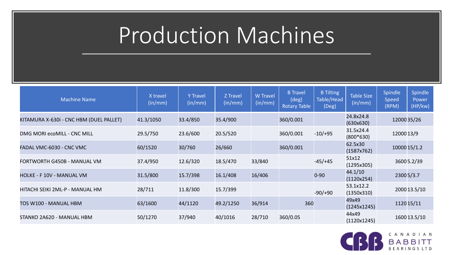#### Production Machines

| <b>Machine Name</b>                     | X travel<br>(in/mm) | <b>Y</b> Travel<br>(in/mm) | Z Travel<br>$\lceil (\mathsf{in}/\mathsf{mm}) \rceil$ | <b>W</b> Travel<br>(in/mm) | <b>B</b> Travel<br>$(\text{deg})$<br><b>Rotary Table</b> | <b>B</b> Tilting<br>Table/Head<br>(Deg) | <b>Table Size</b><br>(in/mm) | Spindle<br><b>Speed</b><br>(RPM) | Spindle<br>Power<br>(HP/kw) |
|-----------------------------------------|---------------------|----------------------------|-------------------------------------------------------|----------------------------|----------------------------------------------------------|-----------------------------------------|------------------------------|----------------------------------|-----------------------------|
| KITAMURA X-630i - CNC HBM (DUEL PALLET) | 41.3/1050           | 33.4/850                   | 35.4/900                                              |                            | 360/0.001                                                |                                         | 24.8x24.8<br>(630x630)       | 12000 35/26                      |                             |
| DMG MORI ecoMILL - CNC MILL             | 29.5/750            | 23.6/600                   | 20.5/520                                              |                            | 360/0.001                                                | $-10/+95$                               | 31.5x24.4<br>$(800*630)$     | 12000 13/9                       |                             |
| FADAL VMC-6030 - CNC VMC                | 60/1520             | 30/760                     | 26/660                                                |                            | 360/0.001                                                |                                         | 62.5x30<br>(1587x762)        | 10000 15/1.2                     |                             |
| FORTWORTH G450B - MANUAL VM             | 37.4/950            | 12.6/320                   | 18.5/470                                              | 33/840                     |                                                          | $-45/+45$                               | 51x12<br>(1295x305)          |                                  | 36005.2/39                  |
| HOLKE - F 10V - MANUAL VM               | 31.5/800            | 15.7/398                   | 16.1/408                                              | 16/406                     |                                                          | $0 - 90$                                | 44.1/10<br>(1120x254)        | 23005/3.7                        |                             |
| HITACHI SEIKI 2ML-P - MANUAL HM         | 28/711              | 11.8/300                   | 15.7/399                                              |                            |                                                          | $-90/+90$                               | 53.1x12.2<br>(1350x310)      |                                  | 2000 13.5/10                |
| TOS W100 - MANUAL HBM                   | 63/1600             | 44/1120                    | 49.2/1250                                             | 36/914                     | 360                                                      |                                         | 49x49<br>(1245x1245)         | 1120 15/11                       |                             |
| STANKO 2A620 - MANUAL HBM               | 50/1270             | 37/940                     | 40/1016                                               | 28/710                     | 360/0.05                                                 |                                         | 44x49<br>(1120x1245)         |                                  | 1600 13.5/10                |

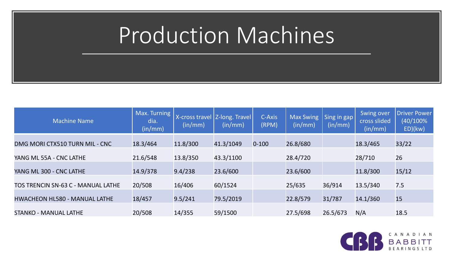#### Production Machines

| <b>Machine Name</b>                  | Max. Turning<br>dia.<br>(in/mm) | (in/mm)  | X-cross travel   Z-long. Travel  <br>(in/mm) | C-Axis<br>(RPM) | <b>Max Swing</b><br>(in/mm) | Sing in gap<br>(in/mm) | Swing over<br>cross slided<br>(in/mm) | <b>Driver Power</b><br>$(40/100\%$<br>ED)(kw) |
|--------------------------------------|---------------------------------|----------|----------------------------------------------|-----------------|-----------------------------|------------------------|---------------------------------------|-----------------------------------------------|
| DMG MORI CTX510 TURN MIL - CNC       | 18.3/464                        | 11.8/300 | 41.3/1049                                    | $0 - 100$       | 26.8/680                    |                        | 18.3/465                              | 33/22                                         |
| YANG ML 55A - CNC LATHE              | 21.6/548                        | 13.8/350 | 43.3/1100                                    |                 | 28.4/720                    |                        | 28/710                                | 26                                            |
| YANG ML 300 - CNC LATHE              | 14.9/378                        | 9.4/238  | 23.6/600                                     |                 | 23.6/600                    |                        | 11.8/300                              | 15/12                                         |
| TOS TRENCIN SN-63 C - MANUAL LATHE   | 20/508                          | 16/406   | 60/1524                                      |                 | 25/635                      | 36/914                 | 13.5/340                              | 7.5                                           |
| <b>HWACHEON HL580 - MANUAL LATHE</b> | 18/457                          | 9.5/241  | 79.5/2019                                    |                 | 22.8/579                    | 31/787                 | 14.1/360                              | 15                                            |
| <b>STANKO - MANUAL LATHE</b>         | 20/508                          | 14/355   | 59/1500                                      |                 | 27.5/698                    | 26.5/673               | N/A                                   | 18.5                                          |

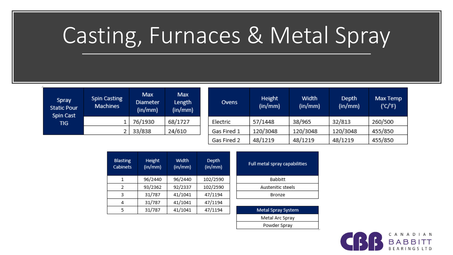## Casting, Furnaces & Metal Spray

| Spray<br><b>Static Pour</b><br>Spin Cast | <b>Spin Casting</b><br><b>Machines</b> | Max<br><b>Diameter</b><br>(in/mm) | Max<br>Length<br>(in/mm) |
|------------------------------------------|----------------------------------------|-----------------------------------|--------------------------|
| <b>TIG</b>                               |                                        | 76/1930                           | 68/1727                  |
|                                          |                                        | 33/838                            | 24/610                   |

| Ovens       | <b>Height</b><br>(in/mm) | Width<br>(in/mm) | <b>Depth</b><br>(in/mm) | Max Temp<br>('C'/F) |
|-------------|--------------------------|------------------|-------------------------|---------------------|
| Electric    | 57/1448                  | 38/965           | 32/813                  | 260/500             |
| Gas Fired 1 | 120/3048                 | 120/3048         | 120/3048                | 455/850             |
| Gas Fired 2 | 48/1219                  | 48/1219          | 48/1219                 | 455/850             |

| <b>Blasting</b><br><b>Cabinets</b> | Height<br>(in/mm) | Width<br>(in/mm) | <b>Depth</b><br>(in/mm) |
|------------------------------------|-------------------|------------------|-------------------------|
| 1                                  | 96/2440           | 96/2440          | 102/2590                |
| 2                                  | 93/2362           | 92/2337          | 102/2590                |
| 3                                  | 31/787            | 41/1041          | 47/1194                 |
| 4                                  | 31/787            | 41/1041          | 47/1194                 |
| 5                                  | 31/787            | 41/1041          | 47/1194                 |

| Full metal spray capabilities |
|-------------------------------|
| <b>Babbitt</b>                |
| Austenitic steels             |
| Bronze                        |

| Metal Spray System |
|--------------------|
| Metal Arc Spray    |
| Powder Spray       |
|                    |

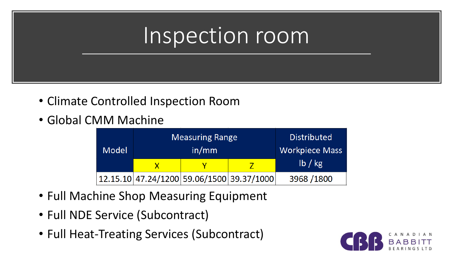#### Inspection room

- Climate Controlled Inspection Room
- Global CMM Machine

| <b>Model</b> | <b>Measuring Range</b><br>in/mm |                                           | <b>Distributed</b><br><b>Workpiece Mass</b> |
|--------------|---------------------------------|-------------------------------------------|---------------------------------------------|
|              |                                 |                                           | lb / kg                                     |
|              |                                 | 12.15.10 47.24/1200 59.06/1500 39.37/1000 | 3968 / 1800                                 |

- Full Machine Shop Measuring Equipment
- Full NDE Service (Subcontract)
- Full Heat-Treating Services (Subcontract)

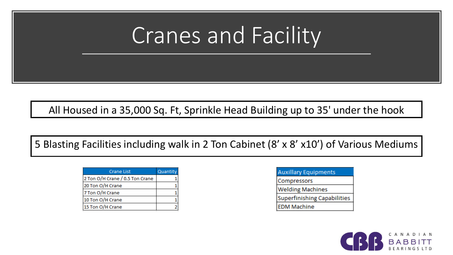#### Cranes and Facility

All Housed in a 35,000 Sq. Ft, Sprinkle Head Building up to 35' under the hook

5 Blasting Facilities including walk in 2 Ton Cabinet (8' x 8' x10') of Various Mediums

| Crane List                      | Quantity |
|---------------------------------|----------|
| 2 Ton O/H Crane / 0.5 Ton Crane |          |
| 20 Ton O/H Crane                |          |
| 7 Ton O/H Crane                 |          |
| 10 Ton O/H Crane                |          |
| 15 Ton O/H Crane                |          |

| <b>Auxillary Equipments</b> |
|-----------------------------|
| Compressors                 |
| <b>Welding Machines</b>     |
| Superfinishing Capabilities |
| <b>EDM Machine</b>          |